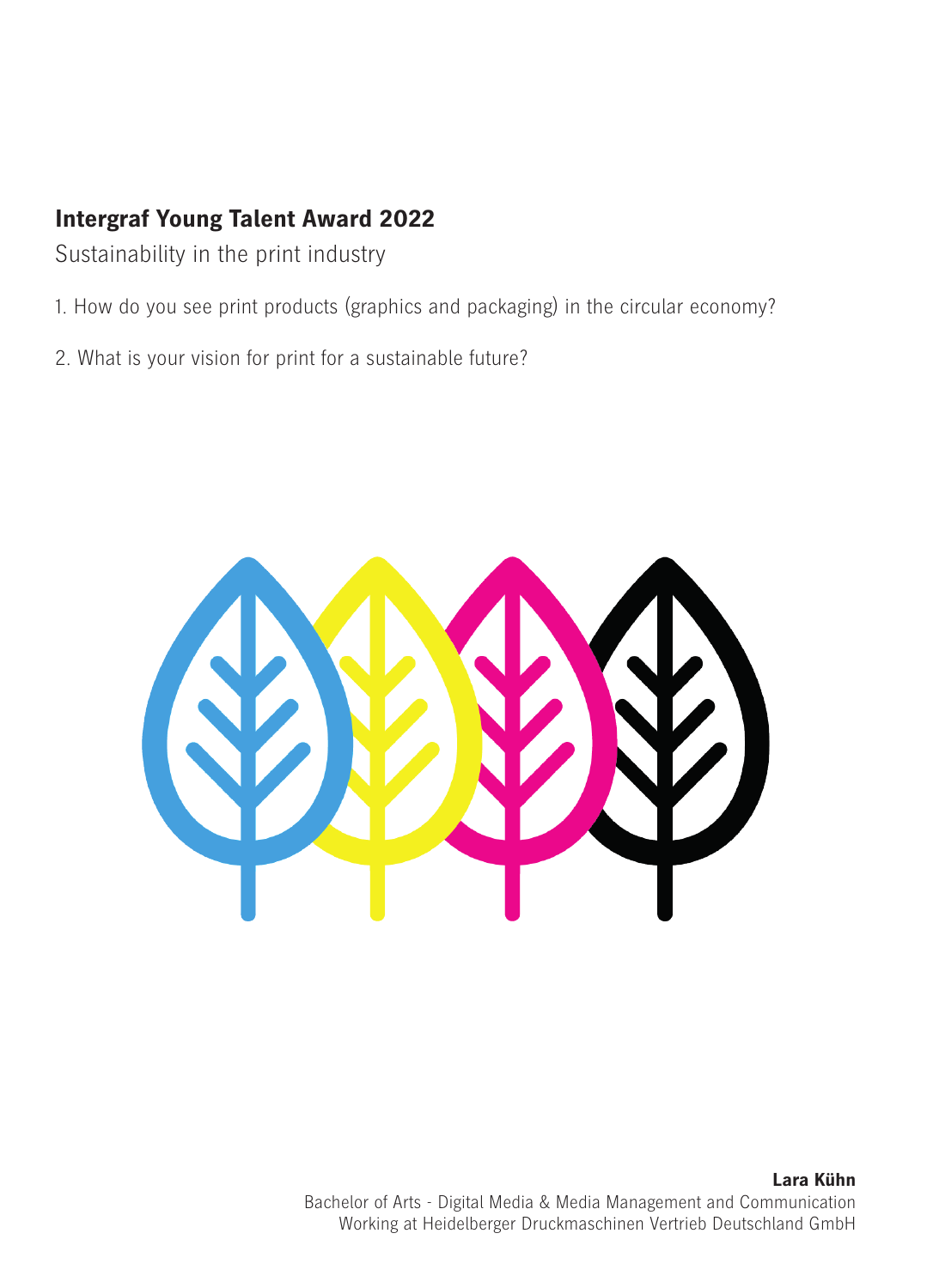## **Intergraf Young Talent Award 2022**

Sustainability in the print industry

- 1. How do you see print products (graphics and packaging) in the circular economy?
- 2. What is your vision for print for a sustainable future?



**Lara Kühn**  Bachelor of Arts - Digital Media & Media Management and Communication Working at Heidelberger Druckmaschinen Vertrieb Deutschland GmbH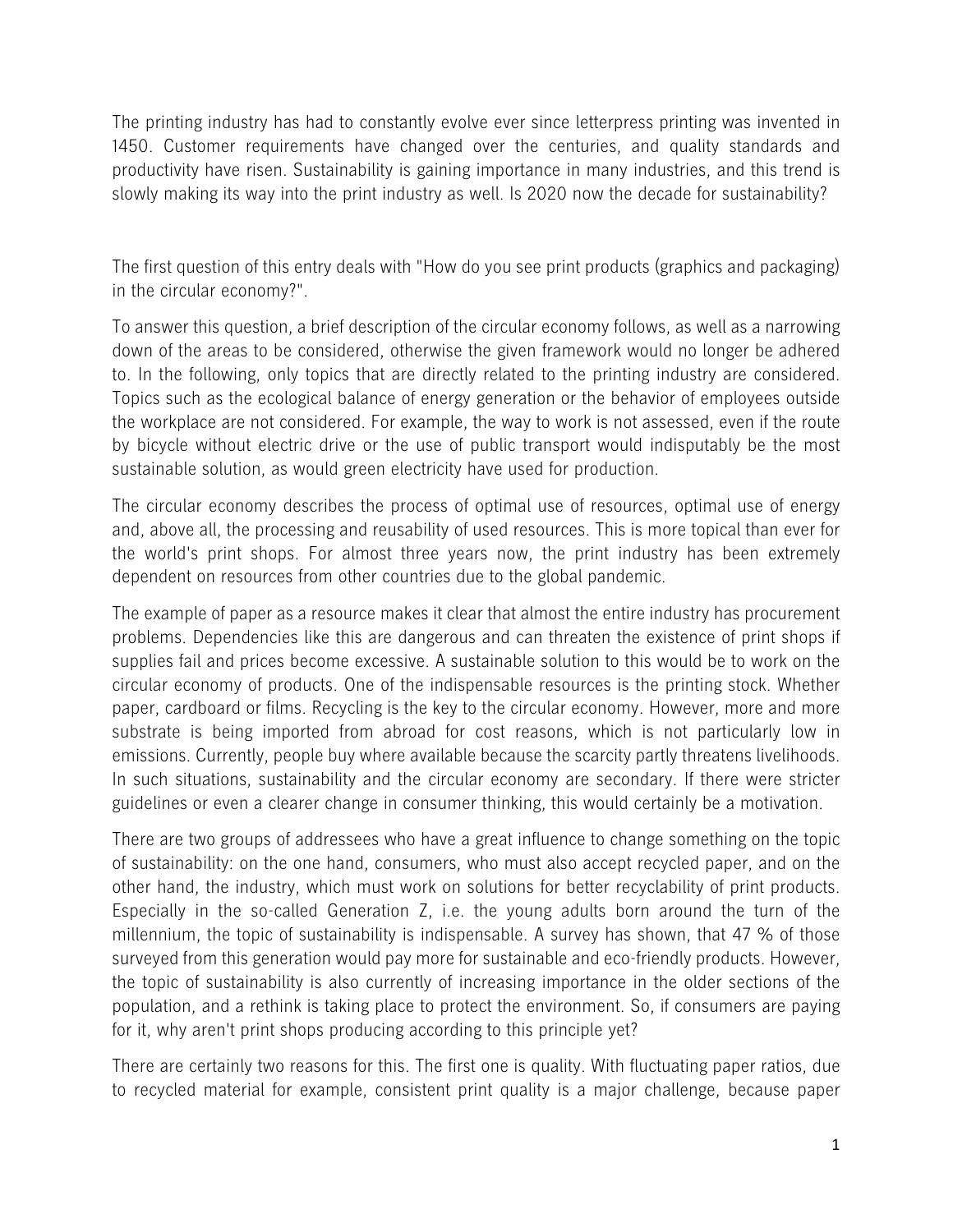The printing industry has had to constantly evolve ever since letterpress printing was invented in 1450. Customer requirements have changed over the centuries, and quality standards and productivity have risen. Sustainability is gaining importance in many industries, and this trend is slowly making its way into the print industry as well. Is 2020 now the decade for sustainability?

The first question of this entry deals with "How do you see print products (graphics and packaging) in the circular economy?".

To answer this question, a brief description of the circular economy follows, as well as a narrowing down of the areas to be considered, otherwise the given framework would no longer be adhered to. In the following, only topics that are directly related to the printing industry are considered. Topics such as the ecological balance of energy generation or the behavior of employees outside the workplace are not considered. For example, the way to work is not assessed, even if the route by bicycle without electric drive or the use of public transport would indisputably be the most sustainable solution, as would green electricity have used for production.

The circular economy describes the process of optimal use of resources, optimal use of energy and, above all, the processing and reusability of used resources. This is more topical than ever for the world's print shops. For almost three years now, the print industry has been extremely dependent on resources from other countries due to the global pandemic.

The example of paper as a resource makes it clear that almost the entire industry has procurement problems. Dependencies like this are dangerous and can threaten the existence of print shops if supplies fail and prices become excessive. A sustainable solution to this would be to work on the circular economy of products. One of the indispensable resources is the printing stock. Whether paper, cardboard or films. Recycling is the key to the circular economy. However, more and more substrate is being imported from abroad for cost reasons, which is not particularly low in emissions. Currently, people buy where available because the scarcity partly threatens livelihoods. In such situations, sustainability and the circular economy are secondary. If there were stricter guidelines or even a clearer change in consumer thinking, this would certainly be a motivation.

There are two groups of addressees who have a great influence to change something on the topic of sustainability: on the one hand, consumers, who must also accept recycled paper, and on the other hand, the industry, which must work on solutions for better recyclability of print products. Especially in the so-called Generation Z, i.e. the young adults born around the turn of the millennium, the topic of sustainability is indispensable. A survey has shown, that 47 % of those surveyed from this generation would pay more for sustainable and eco-friendly products. However, the topic of sustainability is also currently of increasing importance in the older sections of the population, and a rethink is taking place to protect the environment. So, if consumers are paying for it, why aren't print shops producing according to this principle yet?

There are certainly two reasons for this. The first one is quality. With fluctuating paper ratios, due to recycled material for example, consistent print quality is a major challenge, because paper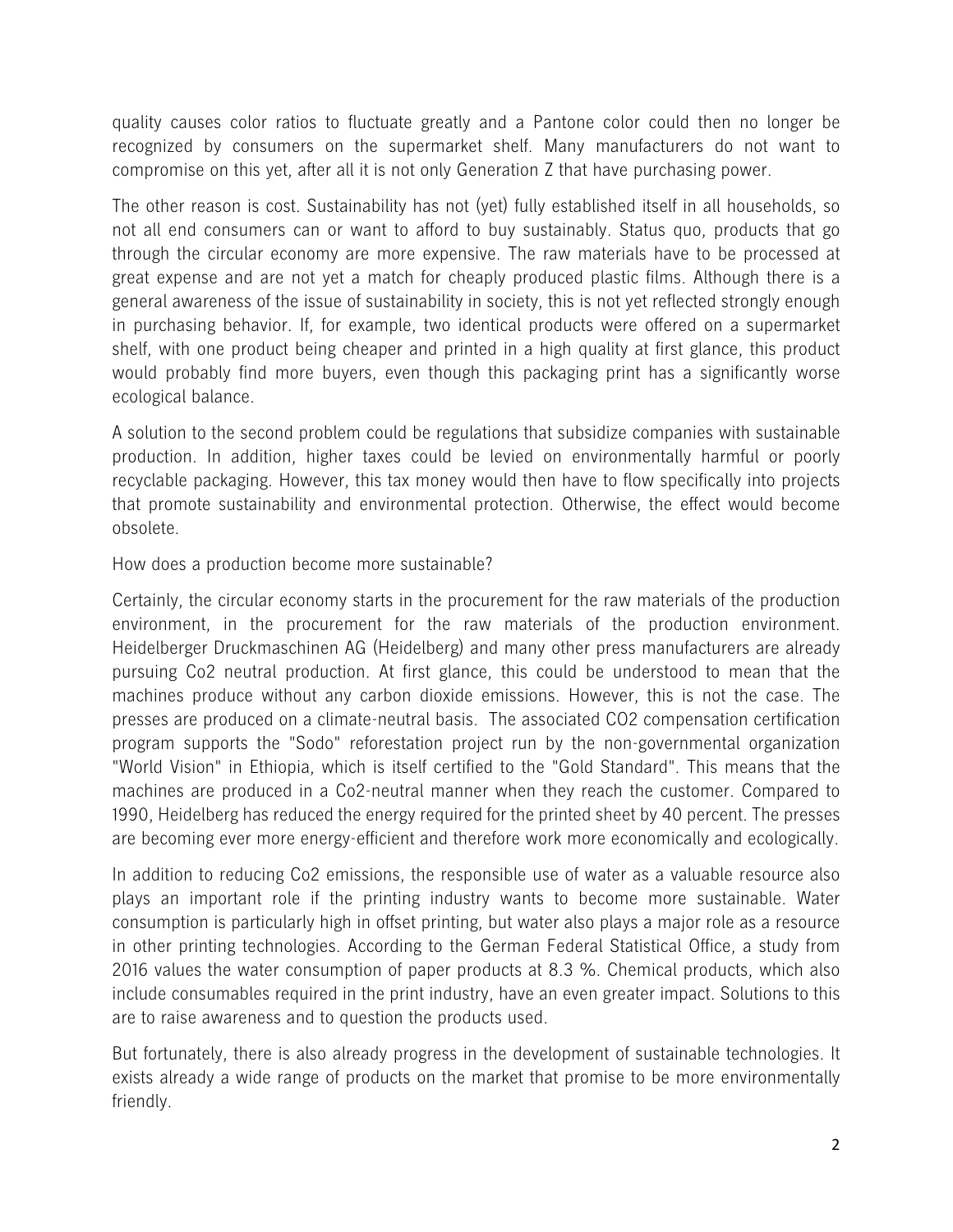quality causes color ratios to fluctuate greatly and a Pantone color could then no longer be recognized by consumers on the supermarket shelf. Many manufacturers do not want to compromise on this yet, after all it is not only Generation Z that have purchasing power.

The other reason is cost. Sustainability has not (yet) fully established itself in all households, so not all end consumers can or want to afford to buy sustainably. Status quo, products that go through the circular economy are more expensive. The raw materials have to be processed at great expense and are not yet a match for cheaply produced plastic films. Although there is a general awareness of the issue of sustainability in society, this is not yet reflected strongly enough in purchasing behavior. If, for example, two identical products were offered on a supermarket shelf, with one product being cheaper and printed in a high quality at first glance, this product would probably find more buyers, even though this packaging print has a significantly worse ecological balance.

A solution to the second problem could be regulations that subsidize companies with sustainable production. In addition, higher taxes could be levied on environmentally harmful or poorly recyclable packaging. However, this tax money would then have to flow specifically into projects that promote sustainability and environmental protection. Otherwise, the effect would become obsolete.

How does a production become more sustainable?

Certainly, the circular economy starts in the procurement for the raw materials of the production environment, in the procurement for the raw materials of the production environment. Heidelberger Druckmaschinen AG (Heidelberg) and many other press manufacturers are already pursuing Co2 neutral production. At first glance, this could be understood to mean that the machines produce without any carbon dioxide emissions. However, this is not the case. The presses are produced on a climate-neutral basis. The associated CO2 compensation certification program supports the "Sodo" reforestation project run by the non-governmental organization "World Vision" in Ethiopia, which is itself certified to the "Gold Standard". This means that the machines are produced in a Co2-neutral manner when they reach the customer. Compared to 1990, Heidelberg has reduced the energy required for the printed sheet by 40 percent. The presses are becoming ever more energy-efficient and therefore work more economically and ecologically.

In addition to reducing Co2 emissions, the responsible use of water as a valuable resource also plays an important role if the printing industry wants to become more sustainable. Water consumption is particularly high in offset printing, but water also plays a major role as a resource in other printing technologies. According to the German Federal Statistical Office, a study from 2016 values the water consumption of paper products at 8.3 %. Chemical products, which also include consumables required in the print industry, have an even greater impact. Solutions to this are to raise awareness and to question the products used.

But fortunately, there is also already progress in the development of sustainable technologies. It exists already a wide range of products on the market that promise to be more environmentally friendly.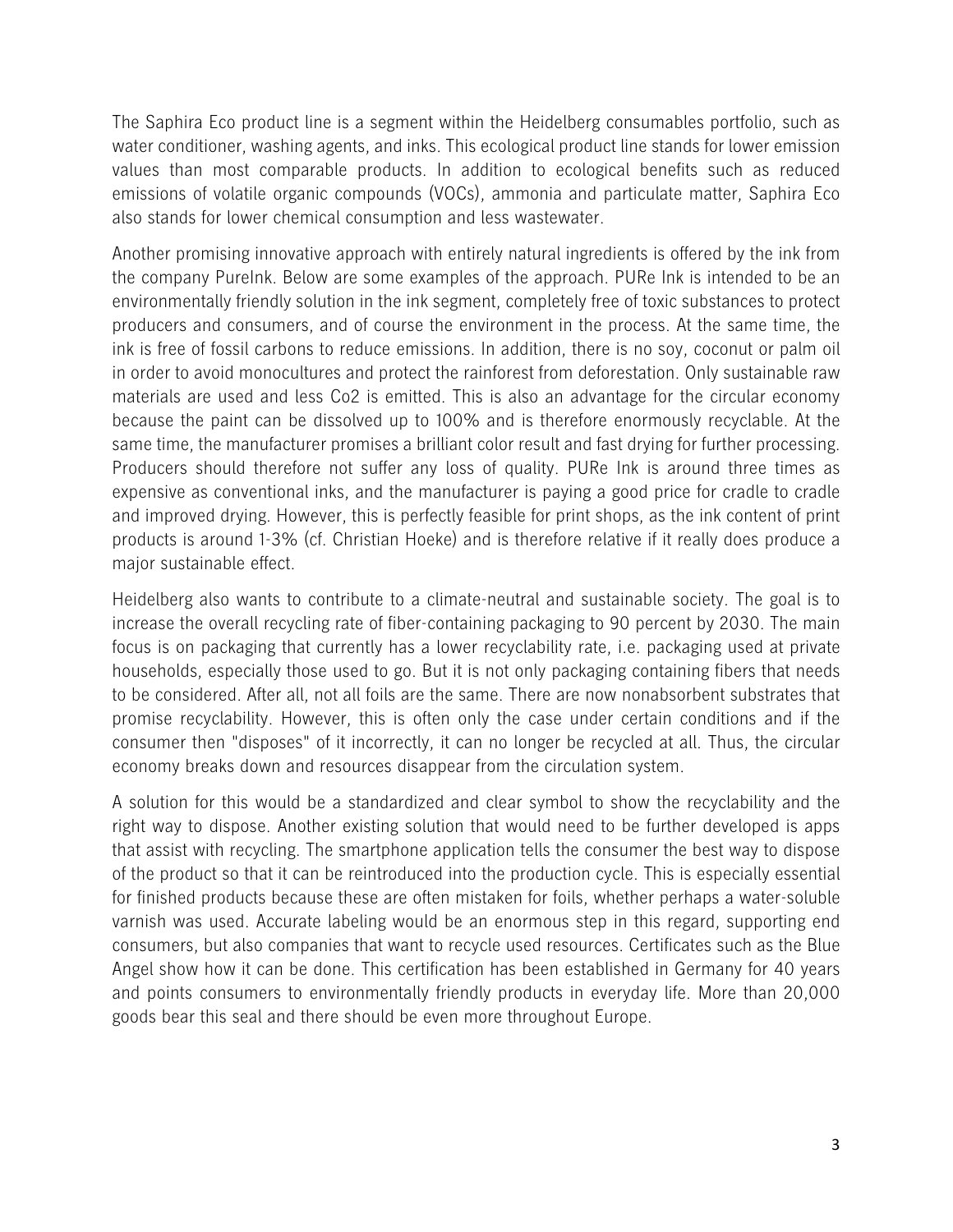The Saphira Eco product line is a segment within the Heidelberg consumables portfolio, such as water conditioner, washing agents, and inks. This ecological product line stands for lower emission values than most comparable products. In addition to ecological benefits such as reduced emissions of volatile organic compounds (VOCs), ammonia and particulate matter, Saphira Eco also stands for lower chemical consumption and less wastewater.

Another promising innovative approach with entirely natural ingredients is offered by the ink from the company PureInk. Below are some examples of the approach. PURe Ink is intended to be an environmentally friendly solution in the ink segment, completely free of toxic substances to protect producers and consumers, and of course the environment in the process. At the same time, the ink is free of fossil carbons to reduce emissions. In addition, there is no soy, coconut or palm oil in order to avoid monocultures and protect the rainforest from deforestation. Only sustainable raw materials are used and less Co2 is emitted. This is also an advantage for the circular economy because the paint can be dissolved up to 100% and is therefore enormously recyclable. At the same time, the manufacturer promises a brilliant color result and fast drying for further processing. Producers should therefore not suffer any loss of quality. PURe Ink is around three times as expensive as conventional inks, and the manufacturer is paying a good price for cradle to cradle and improved drying. However, this is perfectly feasible for print shops, as the ink content of print products is around 1-3% (cf. Christian Hoeke) and is therefore relative if it really does produce a major sustainable effect.

Heidelberg also wants to contribute to a climate-neutral and sustainable society. The goal is to increase the overall recycling rate of fiber-containing packaging to 90 percent by 2030. The main focus is on packaging that currently has a lower recyclability rate, i.e. packaging used at private households, especially those used to go. But it is not only packaging containing fibers that needs to be considered. After all, not all foils are the same. There are now nonabsorbent substrates that promise recyclability. However, this is often only the case under certain conditions and if the consumer then "disposes" of it incorrectly, it can no longer be recycled at all. Thus, the circular economy breaks down and resources disappear from the circulation system.

A solution for this would be a standardized and clear symbol to show the recyclability and the right way to dispose. Another existing solution that would need to be further developed is apps that assist with recycling. The smartphone application tells the consumer the best way to dispose of the product so that it can be reintroduced into the production cycle. This is especially essential for finished products because these are often mistaken for foils, whether perhaps a water-soluble varnish was used. Accurate labeling would be an enormous step in this regard, supporting end consumers, but also companies that want to recycle used resources. Certificates such as the Blue Angel show how it can be done. This certification has been established in Germany for 40 years and points consumers to environmentally friendly products in everyday life. More than 20,000 goods bear this seal and there should be even more throughout Europe.